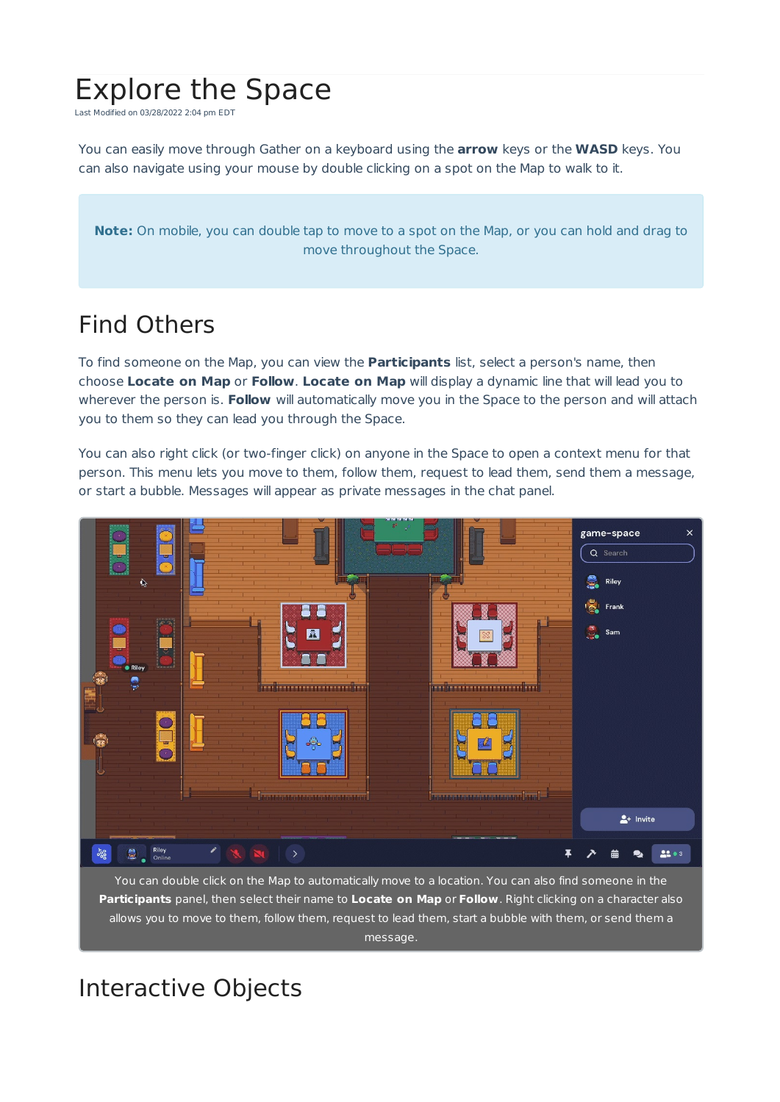# Explore the Space

Last Modified on 03/28/2022 2:04 pm EDT

You can easily move through Gather on a keyboard using the **arrow** keys or the **WASD** keys. You can also navigate using your mouse by double clicking on a spot on the Map to walk to it.

**Note:** On mobile, you can double tap to move to a spot on the Map, or you can hold and drag to move throughout the Space.

## Find Others

To find someone on the Map, you can view the **Participants** list, select a person's name, then choose **Locate on Map** or **Follow**. **Locate on Map** will display a dynamic line that will lead you to wherever the person is. **Follow** will automatically move you in the Space to the person and will attach you to them so they can lead you through the Space.

You can also right click (or two-finger click) on anyone in the Space to open a context menu for that person. This menu lets you move to them, follow them, request to lead them, send them a message, or start a bubble. Messages will appear as private messages in the chat panel.



You can double click on the Map to automatically move to a location. You can also find someone in the **Participants** panel, then select their name to **Locate on Map** or **Follow**. Right clicking on a character also allows you to move to them, follow them, request to lead them, start a bubble with them, or send them a message.

# Interactive Objects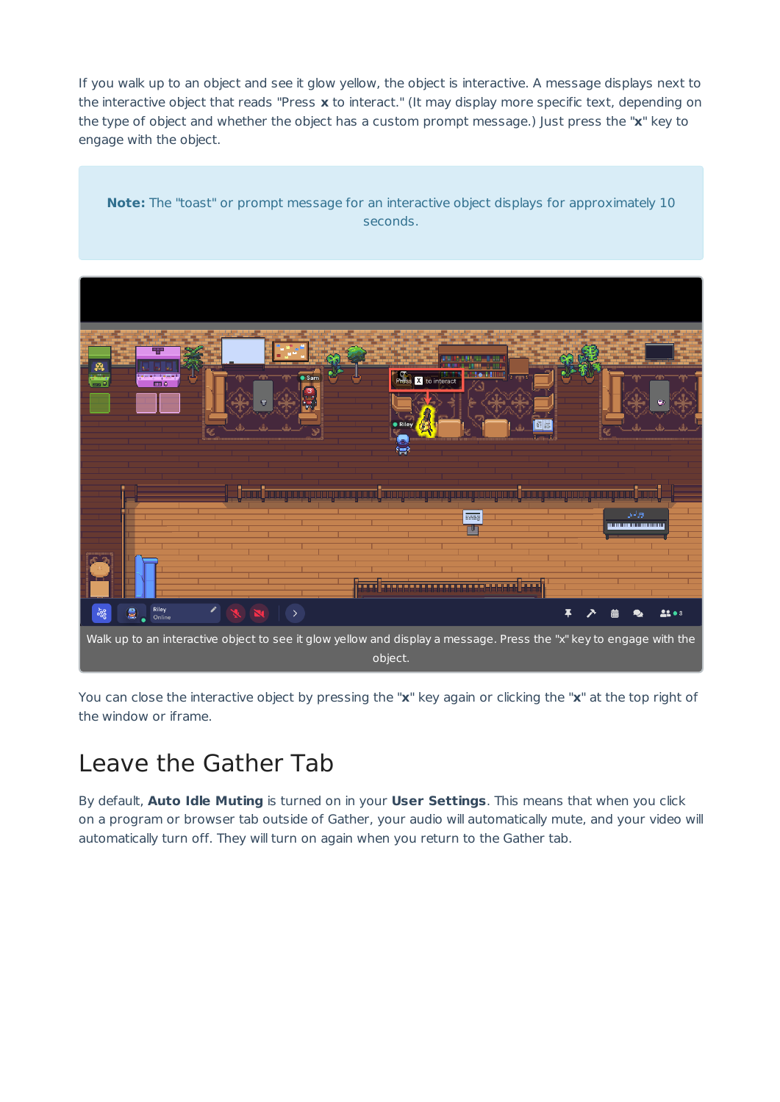If you walk up to an object and see it glow yellow, the object is interactive. A message displays next to the interactive object that reads "Press **x** to interact." (It may display more specific text, depending on the type of object and whether the object has a custom prompt message.) Just press the "**x**" key to engage with the object.

**Note:** The "toast" or prompt message for an interactive object displays for approximately 10 seconds.



You can close the interactive object by pressing the "**x**" key again or clicking the "**x**" at the top right of the window or iframe.

#### Leave the Gather Tab

By default, **Auto Idle Muting** is turned on in your **User Settings**. This means that when you click on a program or browser tab outside of Gather, your audio will automatically mute, and your video will automatically turn off. They will turn on again when you return to the Gather tab.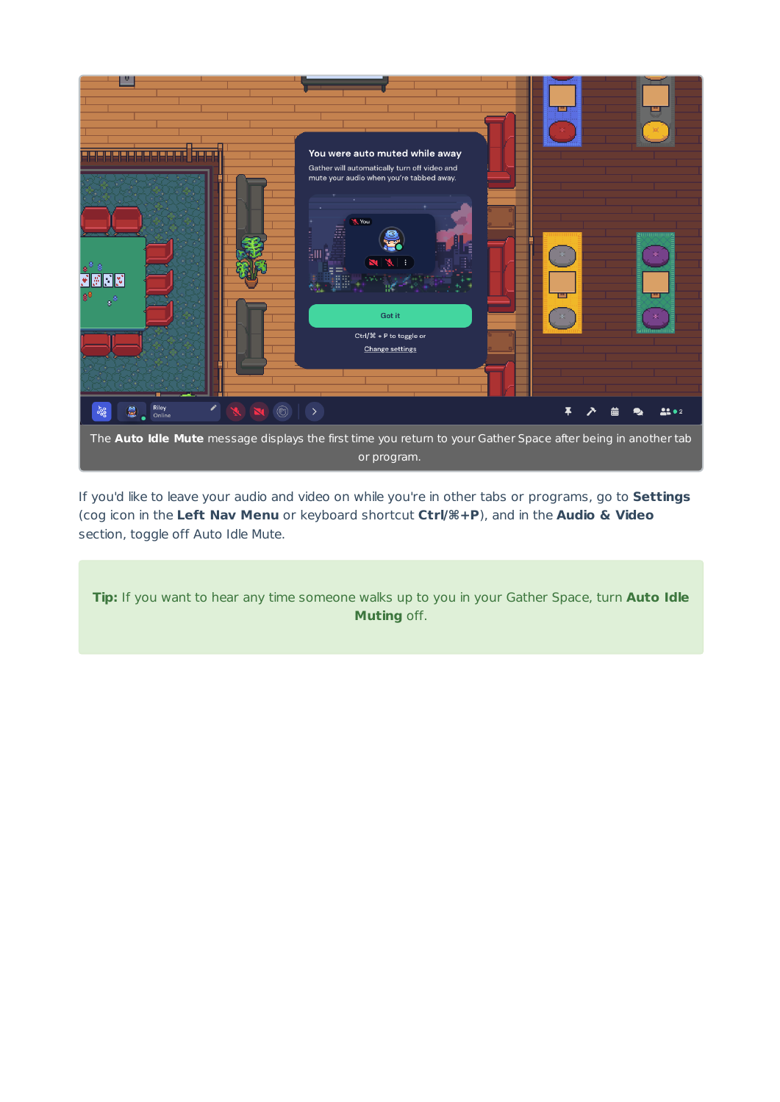

If you'd like to leave your audio and video on while you're in other tabs or programs, go to **Settings** (cog icon in the **Left Nav Menu** or keyboard shortcut **Ctrl/⌘+P**), and in the **Audio & Video** section, toggle off Auto Idle Mute.

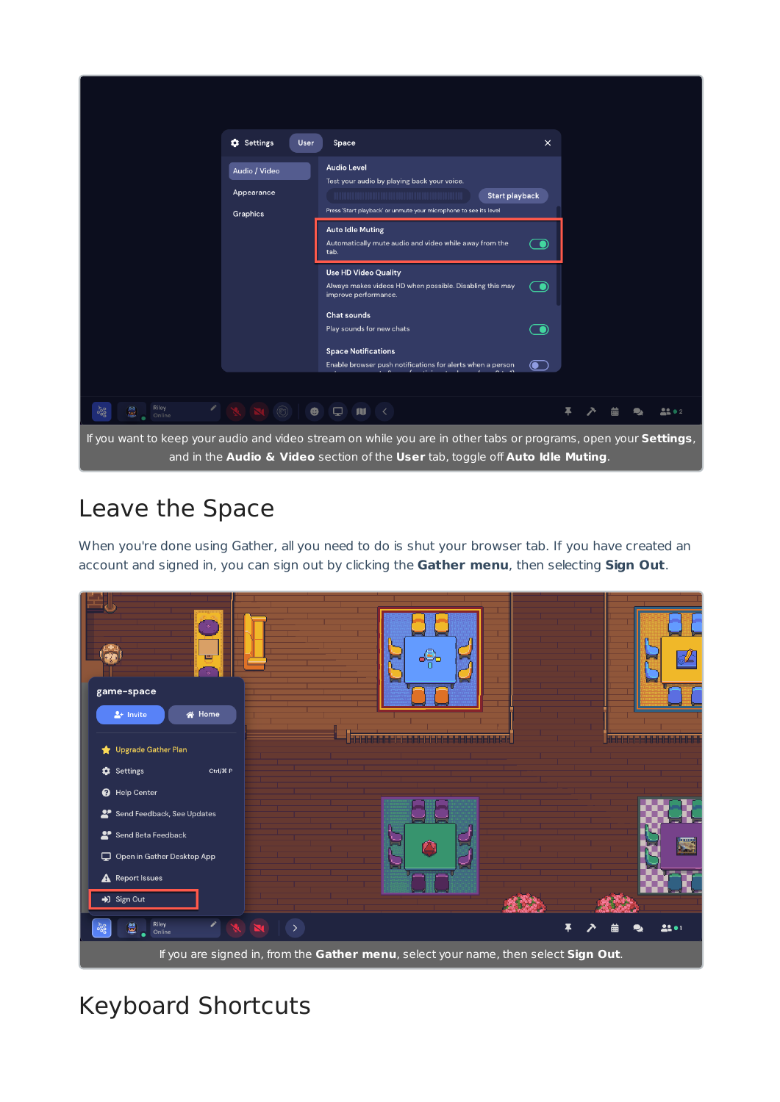|                                                                                                                                                                                                   | <b>Q</b> Settings<br>User               | Space                                                                                                                                                                                                                                                                                                                                                                                                                                                                                                                          | $\times$            |  |  |  |        |
|---------------------------------------------------------------------------------------------------------------------------------------------------------------------------------------------------|-----------------------------------------|--------------------------------------------------------------------------------------------------------------------------------------------------------------------------------------------------------------------------------------------------------------------------------------------------------------------------------------------------------------------------------------------------------------------------------------------------------------------------------------------------------------------------------|---------------------|--|--|--|--------|
|                                                                                                                                                                                                   | Audio / Video<br>Appearance<br>Graphics | <b>Audio Level</b><br>Test your audio by playing back your voice.<br><b>Start playback</b><br>Press 'Start playback' or unmute your microphone to see its level<br><b>Auto Idle Muting</b><br>Automatically mute audio and video while away from the<br>tab.<br><b>Use HD Video Quality</b><br>Always makes videos HD when possible. Disabling this may<br>improve performance.<br><b>Chat sounds</b><br>Play sounds for new chats<br><b>Space Notifications</b><br>Enable browser push notifications for alerts when a person | О<br>O<br>$\bullet$ |  |  |  |        |
| v.<br>Riley<br>$\mathbf{e}$<br>$800^{\circ}$<br>Online                                                                                                                                            | $\circledS$<br>$\bullet$                | $\Box$<br><b>A</b><br>$\sim$                                                                                                                                                                                                                                                                                                                                                                                                                                                                                                   |                     |  |  |  | 22 O 2 |
| If you want to keep your audio and video stream on while you are in other tabs or programs, open your Settings,<br>and in the Audio & Video section of the User tab, toggle off Auto Idle Muting. |                                         |                                                                                                                                                                                                                                                                                                                                                                                                                                                                                                                                |                     |  |  |  |        |

## Leave the Space

When you're done using Gather, all you need to do is shut your browser tab. If you have created an account and signed in, you can sign out by clicking the **Gather menu**, then selecting **Sign Out**.



# Keyboard Shortcuts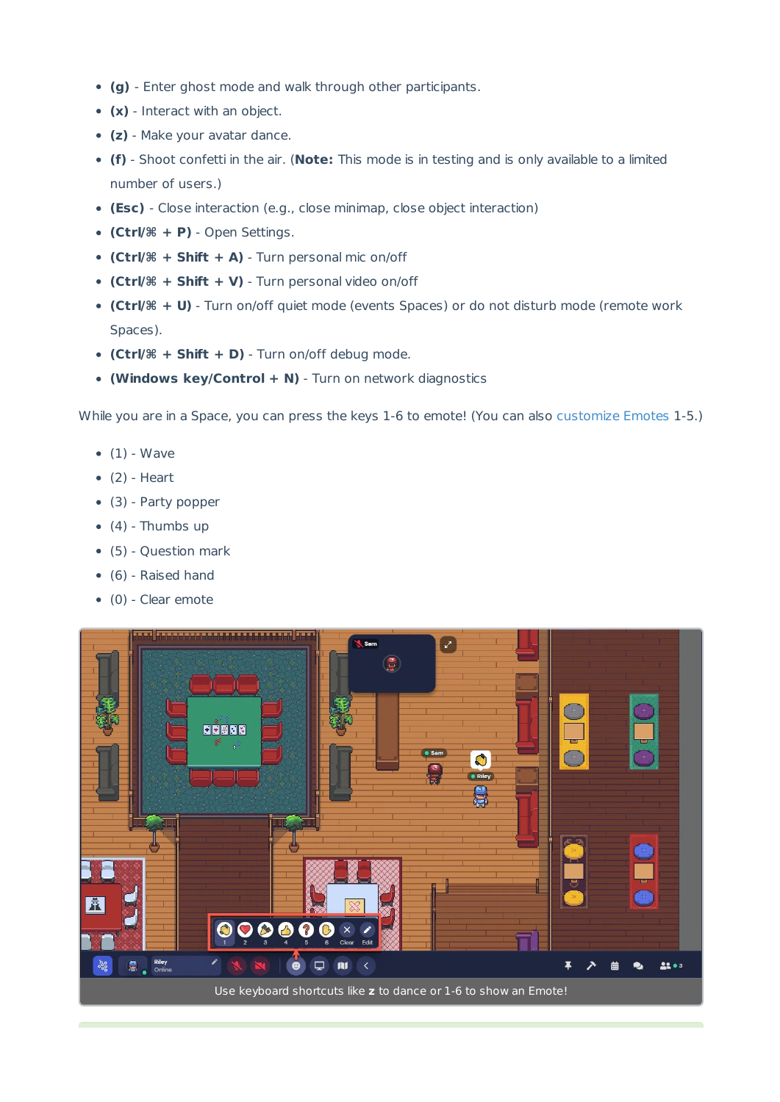- **(g)** Enter ghost mode and walk through other participants.
- **(x)** Interact with an object.
- **(z)** Make your avatar dance.
- **(f)** Shoot confetti in the air. (**Note:** This mode is in testing and is only available to a limited number of users.)
- **(Esc)** Close interaction (e.g., close minimap, close object interaction)
- **(Ctrl/⌘ + P)** Open Settings.
- **(Ctrl/⌘ + Shift + A)** Turn personal mic on/off
- **(Ctrl/⌘ + Shift + V)** Turn personal video on/off
- **(Ctrl/⌘ + U)** Turn on/off quiet mode (events Spaces) or do not disturb mode (remote work Spaces).
- **(Ctrl/⌘ + Shift + D)** Turn on/off debug mode.
- **(Windows key/Control + N)** Turn on network diagnostics

While you are in a Space, you can press the keys 1-6 to emote! (You can also customize Emotes 1-5.)

- $\bullet$  (1) Wave
- $\bullet$  (2) Heart
- (3) Party popper
- $(4)$  Thumbs up
- (5) Question mark
- $\bullet$  (6) Raised hand
- (0) Clear emote